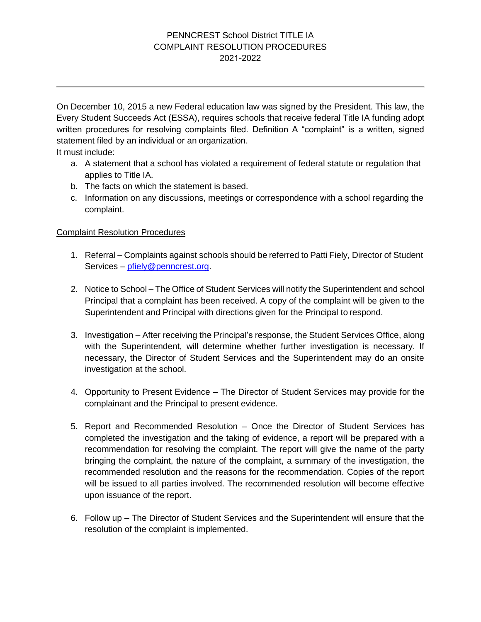## PENNCREST School District TITLE IA COMPLAINT RESOLUTION PROCEDURES 2021-2022

On December 10, 2015 a new Federal education law was signed by the President. This law, the Every Student Succeeds Act (ESSA), requires schools that receive federal Title IA funding adopt written procedures for resolving complaints filed. Definition A "complaint" is a written, signed statement filed by an individual or an organization.

It must include:

- a. A statement that a school has violated a requirement of federal statute or regulation that applies to Title IA.
- b. The facts on which the statement is based.
- c. Information on any discussions, meetings or correspondence with a school regarding the complaint.

## Complaint Resolution Procedures

- 1. Referral Complaints against schools should be referred to Patti Fiely, Director of Student Services – [pfiely@penncrest.org.](mailto:pfiely@penncrest.org)
- 2. Notice to School The Office of Student Services will notify the Superintendent and school Principal that a complaint has been received. A copy of the complaint will be given to the Superintendent and Principal with directions given for the Principal to respond.
- 3. Investigation After receiving the Principal's response, the Student Services Office, along with the Superintendent, will determine whether further investigation is necessary. If necessary, the Director of Student Services and the Superintendent may do an onsite investigation at the school.
- 4. Opportunity to Present Evidence The Director of Student Services may provide for the complainant and the Principal to present evidence.
- 5. Report and Recommended Resolution Once the Director of Student Services has completed the investigation and the taking of evidence, a report will be prepared with a recommendation for resolving the complaint. The report will give the name of the party bringing the complaint, the nature of the complaint, a summary of the investigation, the recommended resolution and the reasons for the recommendation. Copies of the report will be issued to all parties involved. The recommended resolution will become effective upon issuance of the report.
- 6. Follow up The Director of Student Services and the Superintendent will ensure that the resolution of the complaint is implemented.